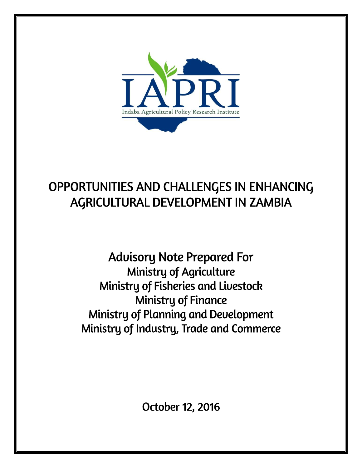

# OPPORTUNITIES AND CHALLENGES IN ENHANCING AGRICULTURAL DEVELOPMENT IN ZAMBIA

**Advisory Note Prepared For Ministry of Agriculture** Ministry of Fisheries and Livestock **Ministry of Finance** Ministry of Planning and Development Ministry of Industry, Trade and Commerce

October 12, 2016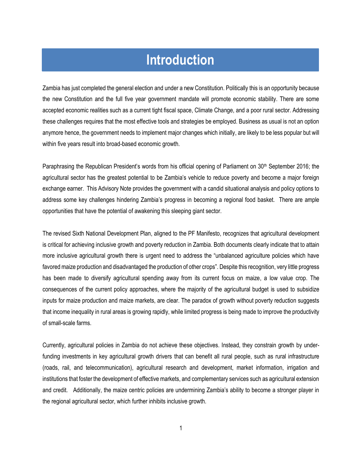# **Introduction**

Zambia has just completed the general election and under a new Constitution. Politically this is an opportunity because the new Constitution and the full five year government mandate will promote economic stability. There are some accepted economic realities such as a current tight fiscal space, Climate Change, and a poor rural sector. Addressing these challenges requires that the most effective tools and strategies be employed. Business as usual is not an option anymore hence, the government needs to implement major changes which initially, are likely to be less popular but will within five years result into broad-based economic growth.

Paraphrasing the Republican President's words from his official opening of Parliament on 30<sup>th</sup> September 2016; the agricultural sector has the greatest potential to be Zambia's vehicle to reduce poverty and become a major foreign exchange earner. This Advisory Note provides the government with a candid situational analysis and policy options to address some key challenges hindering Zambia's progress in becoming a regional food basket. There are ample opportunities that have the potential of awakening this sleeping giant sector.

The revised Sixth National Development Plan, aligned to the PF Manifesto, recognizes that agricultural development is critical for achieving inclusive growth and poverty reduction in Zambia. Both documents clearly indicate that to attain more inclusive agricultural growth there is urgent need to address the "unbalanced agriculture policies which have favored maize production and disadvantaged the production of other crops". Despite this recognition, very little progress has been made to diversify agricultural spending away from its current focus on maize, a low value crop. The consequences of the current policy approaches, where the majority of the agricultural budget is used to subsidize inputs for maize production and maize markets, are clear. The paradox of growth without poverty reduction suggests that income inequality in rural areas is growing rapidly, while limited progress is being made to improve the productivity of small-scale farms.

Currently, agricultural policies in Zambia do not achieve these objectives. Instead, they constrain growth by underfunding investments in key agricultural growth drivers that can benefit all rural people, such as rural infrastructure (roads, rail, and telecommunication), agricultural research and development, market information, irrigation and institutions that foster the development of effective markets, and complementary services such as agricultural extension and credit. Additionally, the maize centric policies are undermining Zambia's ability to become a stronger player in the regional agricultural sector, which further inhibits inclusive growth.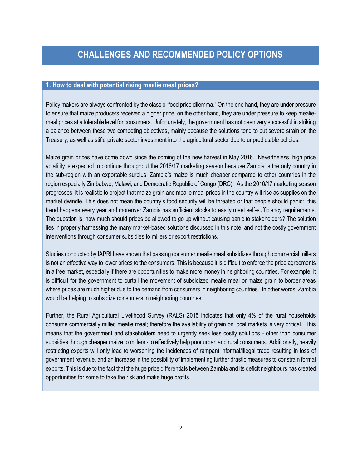## **1. How to deal with potential rising mealie meal prices?**

Policy makers are always confronted by the classic "food price dilemma." On the one hand, they are under pressure to ensure that maize producers received a higher price, on the other hand, they are under pressure to keep mealiemeal prices at a tolerable level for consumers. Unfortunately, the government has not been very successful in striking a balance between these two competing objectives, mainly because the solutions tend to put severe strain on the Treasury, as well as stifle private sector investment into the agricultural sector due to unpredictable policies.

Maize grain prices have come down since the coming of the new harvest in May 2016. Nevertheless, high price volatility is expected to continue throughout the 2016/17 marketing season because Zambia is the only country in the sub-region with an exportable surplus. Zambia's maize is much cheaper compared to other countries in the region especially Zimbabwe, Malawi, and Democratic Republic of Congo (DRC). As the 2016/17 marketing season progresses, it is realistic to project that maize grain and mealie meal prices in the country will rise as supplies on the market dwindle. This does not mean the country's food security will be threated or that people should panic: this trend happens every year and moreover Zambia has sufficient stocks to easily meet self-sufficiency requirements. The question is; how much should prices be allowed to go up without causing panic to stakeholders? The solution lies in properly harnessing the many market-based solutions discussed in this note, and not the costly government interventions through consumer subsidies to millers or export restrictions.

Studies conducted by IAPRI have shown that passing consumer mealie meal subsidizes through commercial millers is not an effective way to lower prices to the consumers. This is because it is difficult to enforce the price agreements in a free market, especially if there are opportunities to make more money in neighboring countries. For example, it is difficult for the government to curtail the movement of subsidized mealie meal or maize grain to border areas where prices are much higher due to the demand from consumers in neighboring countries. In other words, Zambia would be helping to subsidize consumers in neighboring countries.

Further, the Rural Agricultural Livelihood Survey (RALS) 2015 indicates that only 4% of the rural households consume commercially milled mealie meal; therefore the availability of grain on local markets is very critical. This means that the government and stakeholders need to urgently seek less costly solutions - other than consumer subsidies through cheaper maize to millers - to effectively help poor urban and rural consumers. Additionally, heavily restricting exports will only lead to worsening the incidences of rampant informal/illegal trade resulting in loss of government revenue, and an increase in the possibility of implementing further drastic measures to constrain formal exports. This is due to the fact that the huge price differentials between Zambia and its deficit neighbours has created opportunities for some to take the risk and make huge profits.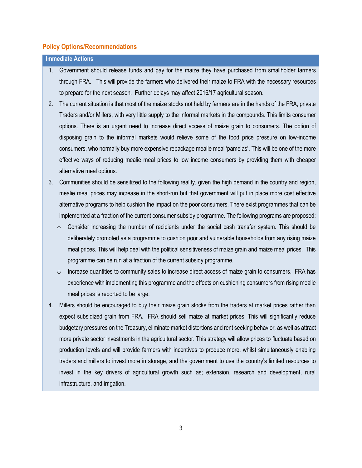**Immediate Actions** 

- 1. Government should release funds and pay for the maize they have purchased from smallholder farmers through FRA. This will provide the farmers who delivered their maize to FRA with the necessary resources to prepare for the next season. Further delays may affect 2016/17 agricultural season.
- 2. The current situation is that most of the maize stocks not held by farmers are in the hands of the FRA, private Traders and/or Millers, with very little supply to the informal markets in the compounds. This limits consumer options. There is an urgent need to increase direct access of maize grain to consumers. The option of disposing grain to the informal markets would relieve some of the food price pressure on low-income consumers, who normally buy more expensive repackage mealie meal 'pamelas'. This will be one of the more effective ways of reducing mealie meal prices to low income consumers by providing them with cheaper alternative meal options.
- 3. Communities should be sensitized to the following reality, given the high demand in the country and region, mealie meal prices may increase in the short-run but that government will put in place more cost effective alternative programs to help cushion the impact on the poor consumers. There exist programmes that can be implemented at a fraction of the current consumer subsidy programme. The following programs are proposed:
	- $\circ$  Consider increasing the number of recipients under the social cash transfer system. This should be deliberately promoted as a programme to cushion poor and vulnerable households from any rising maize meal prices. This will help deal with the political sensitiveness of maize grain and maize meal prices. This programme can be run at a fraction of the current subsidy programme.
	- $\circ$  Increase quantities to community sales to increase direct access of maize grain to consumers. FRA has experience with implementing this programme and the effects on cushioning consumers from rising mealie meal prices is reported to be large.
- 4. Millers should be encouraged to buy their maize grain stocks from the traders at market prices rather than expect subsidized grain from FRA. FRA should sell maize at market prices. This will significantly reduce budgetary pressures on the Treasury, eliminate market distortions and rent seeking behavior, as well as attract more private sector investments in the agricultural sector. This strategy will allow prices to fluctuate based on production levels and will provide farmers with incentives to produce more, whilst simultaneously enabling traders and millers to invest more in storage, and the government to use the country's limited resources to invest in the key drivers of agricultural growth such as; extension, research and development, rural infrastructure, and irrigation.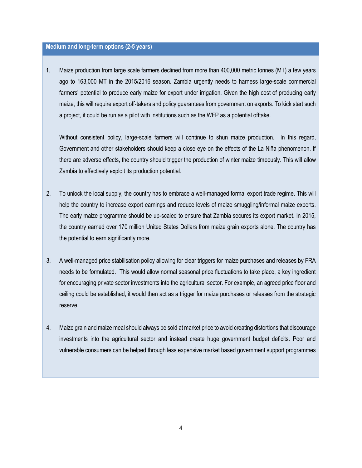#### **Medium and long-term options (2-5 years)**

1. Maize production from large scale farmers declined from more than 400,000 metric tonnes (MT) a few years ago to 163,000 MT in the 2015/2016 season. Zambia urgently needs to harness large-scale commercial farmers' potential to produce early maize for export under irrigation. Given the high cost of producing early maize, this will require export off-takers and policy guarantees from government on exports. To kick start such a project, it could be run as a pilot with institutions such as the WFP as a potential offtake.

Without consistent policy, large-scale farmers will continue to shun maize production. In this regard, Government and other stakeholders should keep a close eye on the effects of the La Niña phenomenon. If there are adverse effects, the country should trigger the production of winter maize timeously. This will allow Zambia to effectively exploit its production potential.

- 2. To unlock the local supply, the country has to embrace a well-managed formal export trade regime. This will help the country to increase export earnings and reduce levels of maize smuggling/informal maize exports. The early maize programme should be up-scaled to ensure that Zambia secures its export market. In 2015, the country earned over 170 million United States Dollars from maize grain exports alone. The country has the potential to earn significantly more.
- 3. A well-managed price stabilisation policy allowing for clear triggers for maize purchases and releases by FRA needs to be formulated. This would allow normal seasonal price fluctuations to take place, a key ingredient for encouraging private sector investments into the agricultural sector. For example, an agreed price floor and ceiling could be established, it would then act as a trigger for maize purchases or releases from the strategic reserve.
- 4. Maize grain and maize meal should always be sold at market price to avoid creating distortions that discourage investments into the agricultural sector and instead create huge government budget deficits. Poor and vulnerable consumers can be helped through less expensive market based government support programmes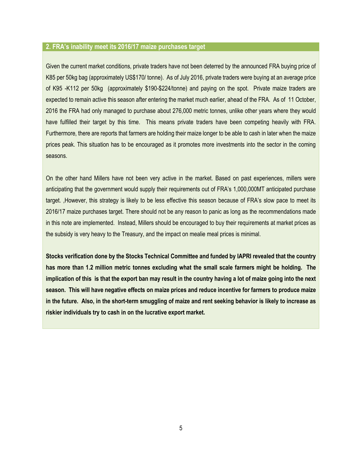#### **2. FRA's inability meet its 2016/17 maize purchases target**

Given the current market conditions, private traders have not been deterred by the announced FRA buying price of K85 per 50kg bag (approximately US\$170/ tonne). As of July 2016, private traders were buying at an average price of K95 -K112 per 50kg (approximately \$190-\$224/tonne) and paying on the spot. Private maize traders are expected to remain active this season after entering the market much earlier, ahead of the FRA. As of 11 October, 2016 the FRA had only managed to purchase about 276,000 metric tonnes, unlike other years where they would have fulfilled their target by this time. This means private traders have been competing heavily with FRA. Furthermore, there are reports that farmers are holding their maize longer to be able to cash in later when the maize prices peak. This situation has to be encouraged as it promotes more investments into the sector in the coming seasons.

On the other hand Millers have not been very active in the market. Based on past experiences, millers were anticipating that the government would supply their requirements out of FRA's 1,000,000MT anticipated purchase target. ,However, this strategy is likely to be less effective this season because of FRA's slow pace to meet its 2016/17 maize purchases target. There should not be any reason to panic as long as the recommendations made in this note are implemented. Instead, Millers should be encouraged to buy their requirements at market prices as the subsidy is very heavy to the Treasury, and the impact on mealie meal prices is minimal.

**Stocks verification done by the Stocks Technical Committee and funded by IAPRI revealed that the country has more than 1.2 million metric tonnes excluding what the small scale farmers might be holding. The implication of this is that the export ban may result in the country having a lot of maize going into the next season. This will have negative effects on maize prices and reduce incentive for farmers to produce maize in the future. Also, in the short-term smuggling of maize and rent seeking behavior is likely to increase as riskier individuals try to cash in on the lucrative export market.**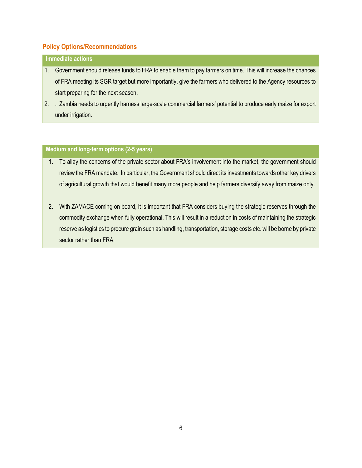# **Immediate actions**

- 1. Government should release funds to FRA to enable them to pay farmers on time. This will increase the chances of FRA meeting its SGR target but more importantly, give the farmers who delivered to the Agency resources to start preparing for the next season.
- 2. . Zambia needs to urgently harness large-scale commercial farmers' potential to produce early maize for export under irrigation.

- 1. To allay the concerns of the private sector about FRA's involvement into the market, the government should review the FRA mandate. In particular, the Government should direct its investments towards other key drivers of agricultural growth that would benefit many more people and help farmers diversify away from maize only.
- 2. With ZAMACE coming on board, it is important that FRA considers buying the strategic reserves through the commodity exchange when fully operational. This will result in a reduction in costs of maintaining the strategic reserve as logistics to procure grain such as handling, transportation, storage costs etc. will be borne by private sector rather than FRA.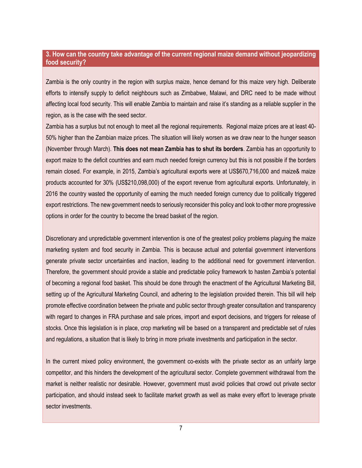# **3. How can the country take advantage of the current regional maize demand without jeopardizing food security?**

Zambia is the only country in the region with surplus maize, hence demand for this maize very high. Deliberate efforts to intensify supply to deficit neighbours such as Zimbabwe, Malawi, and DRC need to be made without affecting local food security. This will enable Zambia to maintain and raise it's standing as a reliable supplier in the region, as is the case with the seed sector.

Zambia has a surplus but not enough to meet all the regional requirements. Regional maize prices are at least 40- 50% higher than the Zambian maize prices. The situation will likely worsen as we draw near to the hunger season (November through March). **This does not mean Zambia has to shut its borders**. Zambia has an opportunity to export maize to the deficit countries and earn much needed foreign currency but this is not possible if the borders remain closed. For example, in 2015, Zambia's agricultural exports were at US\$670,716,000 and maize& maize products accounted for 30% (US\$210,098,000) of the export revenue from agricultural exports. Unfortunately, in 2016 the country wasted the opportunity of earning the much needed foreign currency due to politically triggered export restrictions. The new government needs to seriously reconsider this policy and look to other more progressive options in order for the country to become the bread basket of the region.

Discretionary and unpredictable government intervention is one of the greatest policy problems plaguing the maize marketing system and food security in Zambia. This is because actual and potential government interventions generate private sector uncertainties and inaction, leading to the additional need for government intervention. Therefore, the government should provide a stable and predictable policy framework to hasten Zambia's potential of becoming a regional food basket. This should be done through the enactment of the Agricultural Marketing Bill, setting up of the Agricultural Marketing Council, and adhering to the legislation provided therein. This bill will help promote effective coordination between the private and public sector through greater consultation and transparency with regard to changes in FRA purchase and sale prices, import and export decisions, and triggers for release of stocks. Once this legislation is in place, crop marketing will be based on a transparent and predictable set of rules and regulations, a situation that is likely to bring in more private investments and participation in the sector.

In the current mixed policy environment, the government co-exists with the private sector as an unfairly large competitor, and this hinders the development of the agricultural sector. Complete government withdrawal from the market is neither realistic nor desirable. However, government must avoid policies that crowd out private sector participation, and should instead seek to facilitate market growth as well as make every effort to leverage private sector investments.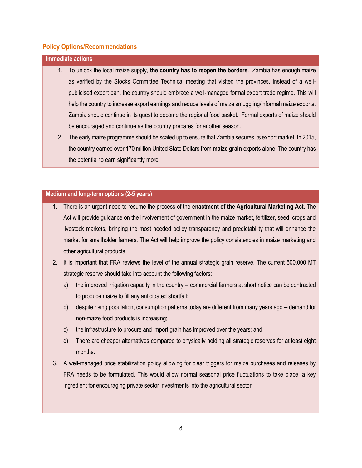| <b>Immediate actions</b> |    |                                                                                                           |  |  |  |  |  |
|--------------------------|----|-----------------------------------------------------------------------------------------------------------|--|--|--|--|--|
|                          |    | 1. To unlock the local maize supply, the country has to reopen the borders. Zambia has enough maize       |  |  |  |  |  |
|                          |    | as verified by the Stocks Committee Technical meeting that visited the provinces. Instead of a well-      |  |  |  |  |  |
|                          |    | publicised export ban, the country should embrace a well-managed formal export trade regime. This will    |  |  |  |  |  |
|                          |    | help the country to increase export earnings and reduce levels of maize smuggling/informal maize exports. |  |  |  |  |  |
|                          |    | Zambia should continue in its quest to become the regional food basket. Formal exports of maize should    |  |  |  |  |  |
|                          |    | be encouraged and continue as the country prepares for another season.                                    |  |  |  |  |  |
|                          | 2. | The early maize programme should be scaled up to ensure that Zambia secures its export market. In 2015,   |  |  |  |  |  |
|                          |    | the country earned over 170 million United State Dollars from maize grain exports alone. The country has  |  |  |  |  |  |
|                          |    | the potential to earn significantly more.                                                                 |  |  |  |  |  |
|                          |    |                                                                                                           |  |  |  |  |  |

- 1. There is an urgent need to resume the process of the **enactment of the Agricultural Marketing Act**. The Act will provide guidance on the involvement of government in the maize market, fertilizer, seed, crops and livestock markets, bringing the most needed policy transparency and predictability that will enhance the market for smallholder farmers. The Act will help improve the policy consistencies in maize marketing and other agricultural products
- 2. It is important that FRA reviews the level of the annual strategic grain reserve. The current 500,000 MT strategic reserve should take into account the following factors:
	- a) the improved irrigation capacity in the country -- commercial farmers at short notice can be contracted to produce maize to fill any anticipated shortfall;
	- b) despite rising population, consumption patterns today are different from many years ago -- demand for non-maize food products is increasing;
	- c) the infrastructure to procure and import grain has improved over the years; and
	- d) There are cheaper alternatives compared to physically holding all strategic reserves for at least eight months.
- 3. A well-managed price stabilization policy allowing for clear triggers for maize purchases and releases by FRA needs to be formulated. This would allow normal seasonal price fluctuations to take place, a key ingredient for encouraging private sector investments into the agricultural sector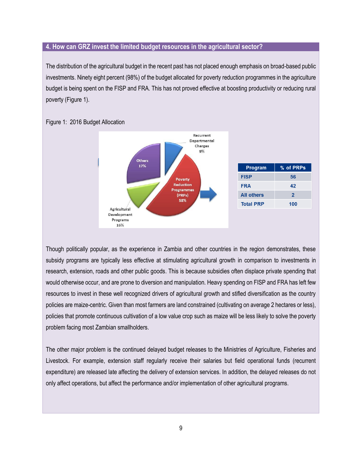#### **4. How can GRZ invest the limited budget resources in the agricultural sector?**

The distribution of the agricultural budget in the recent past has not placed enough emphasis on broad-based public investments. Ninety eight percent (98%) of the budget allocated for poverty reduction programmes in the agriculture budget is being spent on the FISP and FRA. This has not proved effective at boosting productivity or reducing rural poverty (Figure 1).



Figure 1: 2016 Budget Allocation

Though politically popular, as the experience in Zambia and other countries in the region demonstrates, these subsidy programs are typically less effective at stimulating agricultural growth in comparison to investments in research, extension, roads and other public goods. This is because subsidies often displace private spending that would otherwise occur, and are prone to diversion and manipulation. Heavy spending on FISP and FRA has left few resources to invest in these well recognized drivers of agricultural growth and stifled diversification as the country policies are maize-centric. Given than most farmers are land constrained (cultivating on average 2 hectares or less), policies that promote continuous cultivation of a low value crop such as maize will be less likely to solve the poverty problem facing most Zambian smallholders.

The other major problem is the continued delayed budget releases to the Ministries of Agriculture, Fisheries and Livestock. For example, extension staff regularly receive their salaries but field operational funds (recurrent expenditure) are released late affecting the delivery of extension services. In addition, the delayed releases do not only affect operations, but affect the performance and/or implementation of other agricultural programs.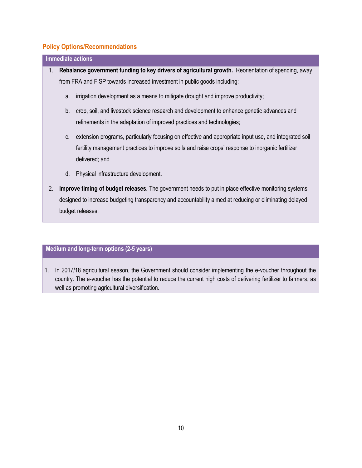| <b>Immediate actions</b>                                                                                    |  |  |  |  |  |  |  |
|-------------------------------------------------------------------------------------------------------------|--|--|--|--|--|--|--|
| Rebalance government funding to key drivers of agricultural growth. Reorientation of spending, away<br>1.   |  |  |  |  |  |  |  |
| from FRA and FISP towards increased investment in public goods including:                                   |  |  |  |  |  |  |  |
| irrigation development as a means to mitigate drought and improve productivity;<br>a.                       |  |  |  |  |  |  |  |
| crop, soil, and livestock science research and development to enhance genetic advances and<br>b.            |  |  |  |  |  |  |  |
| refinements in the adaptation of improved practices and technologies;                                       |  |  |  |  |  |  |  |
| extension programs, particularly focusing on effective and appropriate input use, and integrated soil<br>C. |  |  |  |  |  |  |  |
| fertility management practices to improve soils and raise crops' response to inorganic fertilizer           |  |  |  |  |  |  |  |
| delivered; and                                                                                              |  |  |  |  |  |  |  |
| d. Physical infrastructure development.                                                                     |  |  |  |  |  |  |  |
| Improve timing of budget releases. The government needs to put in place effective monitoring systems<br>2.  |  |  |  |  |  |  |  |
| designed to increase budgeting transparency and accountability aimed at reducing or eliminating delayed     |  |  |  |  |  |  |  |
| budget releases.                                                                                            |  |  |  |  |  |  |  |

# **Medium and long-term options (2-5 years)**

1. In 2017/18 agricultural season, the Government should consider implementing the e-voucher throughout the country. The e-voucher has the potential to reduce the current high costs of delivering fertilizer to farmers, as well as promoting agricultural diversification.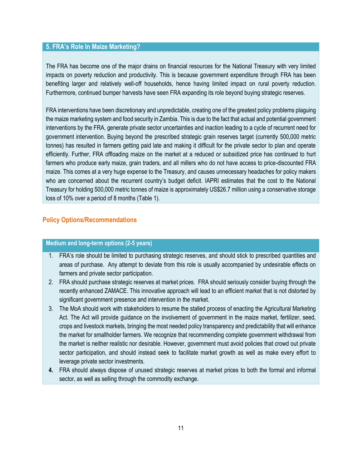#### **5. FRA's Role In Maize Marketing?**

The FRA has become one of the major drains on financial resources for the National Treasury with very limited impacts on poverty reduction and productivity. This is because government expenditure through FRA has been benefiting larger and relatively well-off households, hence having limited impact on rural poverty reduction. Furthermore, continued bumper harvests have seen FRA expanding its role beyond buying strategic reserves.

FRA interventions have been discretionary and unpredictable, creating one of the greatest policy problems plaguing the maize marketing system and food security in Zambia. This is due to the fact that actual and potential government interventions by the FRA, generate private sector uncertainties and inaction leading to a cycle of recurrent need for government intervention. Buying beyond the prescribed strategic grain reserves target (currently 500,000 metric tonnes) has resulted in farmers getting paid late and making it difficult for the private sector to plan and operate efficiently. Further, FRA offloading maize on the market at a reduced or subsidized price has continued to hurt farmers who produce early maize, grain traders, and all millers who do not have access to price-discounted FRA maize. This comes at a very huge expense to the Treasury, and causes unnecessary headaches for policy makers who are concerned about the recurrent country's budget deficit. IAPRI estimates that the cost to the National Treasury for holding 500,000 metric tonnes of maize is approximately US\$26.7 million using a conservative storage loss of 10% over a period of 8 months (Table 1).

#### **Policy Options/Recommendations**

- 1. FRA's role should be limited to purchasing strategic reserves, and should stick to prescribed quantities and areas of purchase. Any attempt to deviate from this role is usually accompanied by undesirable effects on farmers and private sector participation.
- 2. FRA should purchase strategic reserves at market prices. FRA should seriously consider buying through the recently enhanced ZAMACE. This innovative approach will lead to an efficient market that is not distorted by significant government presence and intervention in the market.
- 3. The MoA should work with stakeholders to resume the stalled process of enacting the Agricultural Marketing Act. The Act will provide guidance on the involvement of government in the maize market, fertilizer, seed, crops and livestock markets, bringing the most needed policy transparency and predictability that will enhance the market for smallholder farmers. We recognize that recommending complete government withdrawal from the market is neither realistic nor desirable. However, government must avoid policies that crowd out private sector participation, and should instead seek to facilitate market growth as well as make every effort to leverage private sector investments.
- **4.** FRA should always dispose of unused strategic reserves at market prices to both the formal and informal sector, as well as selling through the commodity exchange.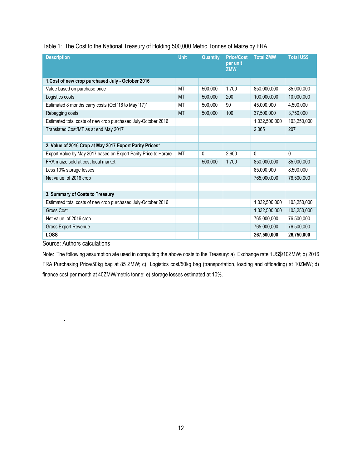|  |  | Table 1: The Cost to the National Treasury of Holding 500,000 Metric Tonnes of Maize by FRA |
|--|--|---------------------------------------------------------------------------------------------|

| <b>Description</b>                                              | <b>Unit</b> | <b>Quantity</b> | <b>Price/Cost</b><br>per unit<br><b>ZMW</b> | <b>Total ZMW</b> | <b>Total US\$</b> |
|-----------------------------------------------------------------|-------------|-----------------|---------------------------------------------|------------------|-------------------|
| 1.Cost of new crop purchased July - October 2016                |             |                 |                                             |                  |                   |
| Value based on purchase price                                   | <b>MT</b>   | 500.000         | 1,700                                       | 850.000.000      | 85,000,000        |
| Logistics costs                                                 | <b>MT</b>   | 500,000         | 200                                         | 100,000,000      | 10,000,000        |
| Estimated 8 months carry costs (Oct '16 to May '17)*            | MT          | 500,000         | 90                                          | 45,000,000       | 4,500,000         |
| Rebagging costs                                                 | <b>MT</b>   | 500.000         | 100                                         | 37,500,000       | 3,750,000         |
| Estimated total costs of new crop purchased July-October 2016   |             |                 |                                             | 1,032,500,000    | 103,250,000       |
| Translated Cost/MT as at end May 2017                           |             |                 |                                             | 2,065            | 207               |
|                                                                 |             |                 |                                             |                  |                   |
| 2. Value of 2016 Crop at May 2017 Export Parity Prices*         |             |                 |                                             |                  |                   |
| Export Value by May 2017 based on Export Parity Price to Harare | <b>MT</b>   | $\mathbf{0}$    | 2.600                                       | $\Omega$         | $\Omega$          |
| FRA maize sold at cost local market                             |             | 500,000         | 1,700                                       | 850,000,000      | 85,000,000        |
| Less 10% storage losses                                         |             |                 |                                             | 85,000,000       | 8,500,000         |
| Net value of 2016 crop                                          |             |                 |                                             | 765,000,000      | 76,500,000        |
|                                                                 |             |                 |                                             |                  |                   |
| 3. Summary of Costs to Treasury                                 |             |                 |                                             |                  |                   |
| Estimated total costs of new crop purchased July-October 2016   |             |                 |                                             | 1,032,500,000    | 103,250,000       |
| <b>Gross Cost</b>                                               |             |                 |                                             | 1,032,500,000    | 103,250,000       |
| Net value of 2016 crop                                          |             |                 |                                             | 765,000,000      | 76,500,000        |
| Gross Export Revenue                                            |             |                 |                                             | 765,000,000      | 76,500,000        |
| <b>LOSS</b>                                                     |             |                 |                                             | 267,500,000      | 26,750,000        |

Source: Authors calculations

.

Note: The following assumption ate used in computing the above costs to the Treasury: a) Exchange rate 1US\$/10ZMW; b) 2016 FRA Purchasing Price/50kg bag at 85 ZMW; c) Logistics cost/50kg bag (transportation, loading and offloading) at 10ZMW; d) finance cost per month at 40ZMW/metric tonne; e) storage losses estimated at 10%.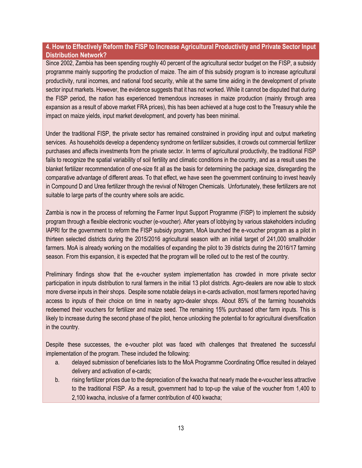# **4. How to Effectively Reform the FISP to Increase Agricultural Productivity and Private Sector Input Distribution Network?**

Since 2002, Zambia has been spending roughly 40 percent of the agricultural sector budget on the FISP, a subsidy programme mainly supporting the production of maize. The aim of this subsidy program is to increase agricultural productivity, rural incomes, and national food security, while at the same time aiding in the development of private sector input markets. However, the evidence suggests that it has not worked. While it cannot be disputed that during the FISP period, the nation has experienced tremendous increases in maize production (mainly through area expansion as a result of above market FRA prices), this has been achieved at a huge cost to the Treasury while the impact on maize yields, input market development, and poverty has been minimal.

Under the traditional FISP, the private sector has remained constrained in providing input and output marketing services. As households develop a dependency syndrome on fertilizer subsidies, it crowds out commercial fertilizer purchases and affects investments from the private sector. In terms of agricultural productivity, the traditional FISP fails to recognize the spatial variability of soil fertility and climatic conditions in the country, and as a result uses the blanket fertilizer recommendation of one-size fit all as the basis for determining the package size, disregarding the comparative advantage of different areas. To that effect, we have seen the government continuing to invest heavily in Compound D and Urea fertilizer through the revival of Nitrogen Chemicals. Unfortunately, these fertilizers are not suitable to large parts of the country where soils are acidic.

Zambia is now in the process of reforming the Farmer Input Support Programme (FISP) to implement the subsidy program through a flexible electronic voucher (e-voucher). After years of lobbying by various stakeholders including IAPRI for the government to reform the FISP subsidy program, MoA launched the e-voucher program as a pilot in thirteen selected districts during the 2015/2016 agricultural season with an initial target of 241,000 smallholder farmers. MoA is already working on the modalities of expanding the pilot to 39 districts during the 2016/17 farming season. From this expansion, it is expected that the program will be rolled out to the rest of the country.

Preliminary findings show that the e-voucher system implementation has crowded in more private sector participation in inputs distribution to rural farmers in the initial 13 pilot districts. Agro-dealers are now able to stock more diverse inputs in their shops. Despite some notable delays in e-cards activation, most farmers reported having access to inputs of their choice on time in nearby agro-dealer shops. About 85% of the farming households redeemed their vouchers for fertilizer and maize seed. The remaining 15% purchased other farm inputs. This is likely to increase during the second phase of the pilot, hence unlocking the potential to for agricultural diversification in the country.

Despite these successes, the e-voucher pilot was faced with challenges that threatened the successful implementation of the program. These included the following:

- a. delayed submission of beneficiaries lists to the MoA Programme Coordinating Office resulted in delayed delivery and activation of e-cards;
- b. rising fertilizer prices due to the depreciation of the kwacha that nearly made the e-voucher less attractive to the traditional FISP. As a result, government had to top-up the value of the voucher from 1,400 to 2,100 kwacha, inclusive of a farmer contribution of 400 kwacha;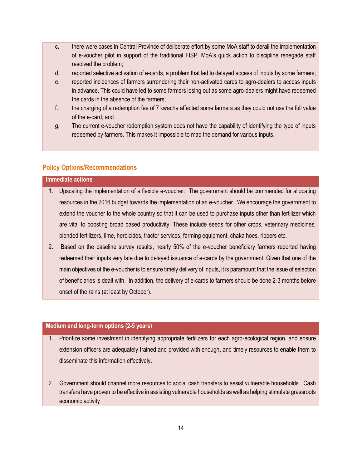- c. there were cases in Central Province of deliberate effort by some MoA staff to derail the implementation of e-voucher pilot in support of the traditional FISP. MoA's quick action to discipline renegade staff resolved the problem;
- d. reported selective activation of e-cards, a problem that led to delayed access of inputs by some farmers;
- e. reported incidences of farmers surrendering their non-activated cards to agro-dealers to access inputs in advance. This could have led to some farmers losing out as some agro-dealers might have redeemed the cards in the absence of the farmers;
- f. the charging of a redemption fee of 7 kwacha affected some farmers as they could not use the full value of the e-card; and
- g. The current e-voucher redemption system does not have the capability of identifying the type of inputs redeemed by farmers. This makes it impossible to map the demand for various inputs.

#### **Immediate actions**

- 1. Upscaling the implementation of a flexible e-voucher: The government should be commended for allocating resources in the 2016 budget towards the implementation of an e-voucher. We encourage the government to extend the voucher to the whole country so that it can be used to purchase inputs other than fertilizer which are vital to boosting broad based productivity. These include seeds for other crops, veterinary medicines, blended fertilizers, lime, herbicides, tractor services, farming equipment, chaka hoes, rippers etc.
- 2. Based on the baseline survey results, nearly 50% of the e-voucher beneficiary farmers reported having redeemed their inputs very late due to delayed issuance of e-cards by the government. Given that one of the main objectives of the e-voucher is to ensure timely delivery of inputs, it is paramount that the issue of selection of beneficiaries is dealt with. In addition, the delivery of e-cards to farmers should be done 2-3 months before onset of the rains (at least by October).

- 1. Prioritize some investment in identifying appropriate fertilizers for each agro-ecological region, and ensure extension officers are adequately trained and provided with enough, and timely resources to enable them to disseminate this information effectively.
- 2. Government should channel more resources to social cash transfers to assist vulnerable households. Cash transfers have proven to be effective in assisting vulnerable households as well as helping stimulate grassroots economic activity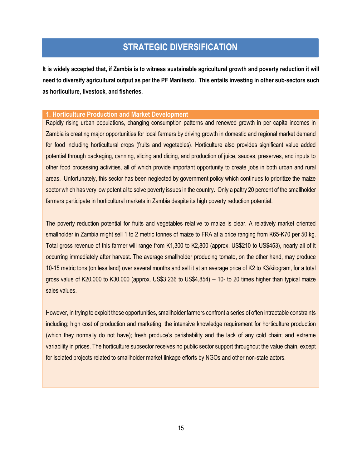# **STRATEGIC DIVERSIFICATION**

**It is widely accepted that, if Zambia is to witness sustainable agricultural growth and poverty reduction it will need to diversify agricultural output as per the PF Manifesto. This entails investing in other sub-sectors such as horticulture, livestock, and fisheries.**

#### **1. Horticulture Production and Market Development**

Rapidly rising urban populations, changing consumption patterns and renewed growth in per capita incomes in Zambia is creating major opportunities for local farmers by driving growth in domestic and regional market demand for food including horticultural crops (fruits and vegetables). Horticulture also provides significant value added potential through packaging, canning, slicing and dicing, and production of juice, sauces, preserves, and inputs to other food processing activities, all of which provide important opportunity to create jobs in both urban and rural areas. Unfortunately, this sector has been neglected by government policy which continues to prioritize the maize sector which has very low potential to solve poverty issues in the country. Only a paltry 20 percent of the smallholder farmers participate in horticultural markets in Zambia despite its high poverty reduction potential.

The poverty reduction potential for fruits and vegetables relative to maize is clear. A relatively market oriented smallholder in Zambia might sell 1 to 2 metric tonnes of maize to FRA at a price ranging from K65-K70 per 50 kg. Total gross revenue of this farmer will range from K1,300 to K2,800 (approx. US\$210 to US\$453), nearly all of it occurring immediately after harvest. The average smallholder producing tomato, on the other hand, may produce 10-15 metric tons (on less land) over several months and sell it at an average price of K2 to K3/kilogram, for a total gross value of K20,000 to K30,000 (approx. US\$3,236 to US\$4,854) -- 10- to 20 times higher than typical maize sales values.

However, in trying to exploit these opportunities, smallholder farmers confront a series of often intractable constraints including; high cost of production and marketing; the intensive knowledge requirement for horticulture production (which they normally do not have); fresh produce's perishability and the lack of any cold chain; and extreme variability in prices. The horticulture subsector receives no public sector support throughout the value chain, except for isolated projects related to smallholder market linkage efforts by NGOs and other non-state actors.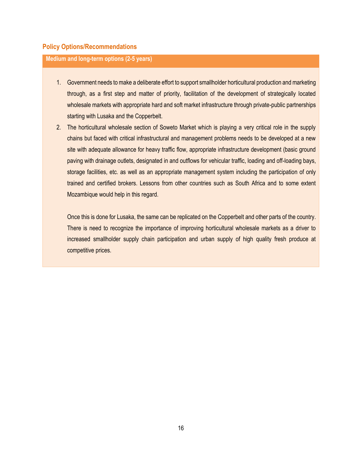## **Medium and long-term options (2-5 years)**

- 1. Government needs to make a deliberate effort to support smallholder horticultural production and marketing through, as a first step and matter of priority, facilitation of the development of strategically located wholesale markets with appropriate hard and soft market infrastructure through private-public partnerships starting with Lusaka and the Copperbelt.
- 2. The horticultural wholesale section of Soweto Market which is playing a very critical role in the supply chains but faced with critical infrastructural and management problems needs to be developed at a new site with adequate allowance for heavy traffic flow, appropriate infrastructure development (basic ground paving with drainage outlets, designated in and outflows for vehicular traffic, loading and off-loading bays, storage facilities, etc. as well as an appropriate management system including the participation of only trained and certified brokers. Lessons from other countries such as South Africa and to some extent Mozambique would help in this regard.

Once this is done for Lusaka, the same can be replicated on the Copperbelt and other parts of the country. There is need to recognize the importance of improving horticultural wholesale markets as a driver to increased smallholder supply chain participation and urban supply of high quality fresh produce at competitive prices.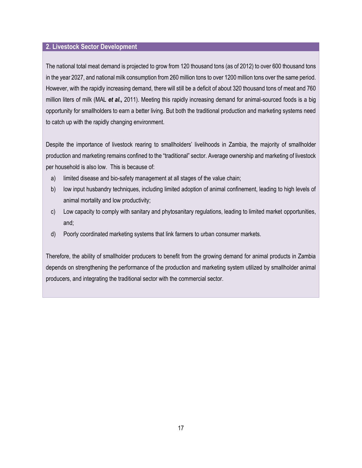#### **2. Livestock Sector Development**

The national total meat demand is projected to grow from 120 thousand tons (as of 2012) to over 600 thousand tons in the year 2027, and national milk consumption from 260 million tons to over 1200 million tons over the same period. However, with the rapidly increasing demand, there will still be a deficit of about 320 thousand tons of meat and 760 million liters of milk (MAL *et al.,* 2011). Meeting this rapidly increasing demand for animal-sourced foods is a big opportunity for smallholders to earn a better living. But both the traditional production and marketing systems need to catch up with the rapidly changing environment.

Despite the importance of livestock rearing to smallholders' livelihoods in Zambia, the majority of smallholder production and marketing remains confined to the "traditional" sector. Average ownership and marketing of livestock per household is also low. This is because of:

- a) limited disease and bio-safety management at all stages of the value chain;
- b) low input husbandry techniques, including limited adoption of animal confinement, leading to high levels of animal mortality and low productivity;
- c) Low capacity to comply with sanitary and phytosanitary regulations, leading to limited market opportunities, and;
- d) Poorly coordinated marketing systems that link farmers to urban consumer markets.

Therefore, the ability of smallholder producers to benefit from the growing demand for animal products in Zambia depends on strengthening the performance of the production and marketing system utilized by smallholder animal producers, and integrating the traditional sector with the commercial sector.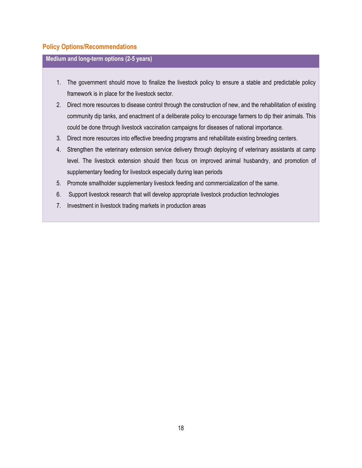- 1. The government should move to finalize the livestock policy to ensure a stable and predictable policy framework is in place for the livestock sector.
- 2. Direct more resources to disease control through the construction of new, and the rehabilitation of existing community dip tanks, and enactment of a deliberate policy to encourage farmers to dip their animals. This could be done through livestock vaccination campaigns for diseases of national importance.
- 3. Direct more resources into effective breeding programs and rehabilitate existing breeding centers.
- 4. Strengthen the veterinary extension service delivery through deploying of veterinary assistants at camp level. The livestock extension should then focus on improved animal husbandry, and promotion of supplementary feeding for livestock especially during lean periods
- 5. Promote smallholder supplementary livestock feeding and commercialization of the same.
- 6. Support livestock research that will develop appropriate livestock production technologies
- 7. Investment in livestock trading markets in production areas